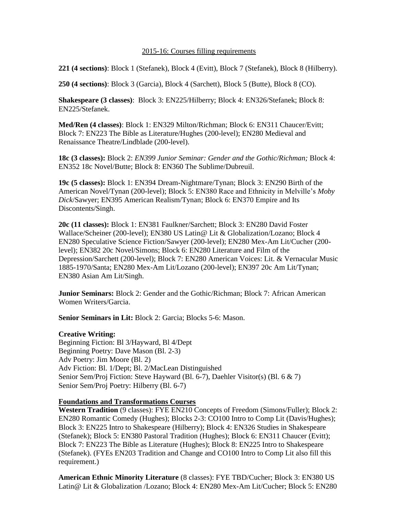## 2015-16: Courses filling requirements

**221 (4 sections)**: Block 1 (Stefanek), Block 4 (Evitt), Block 7 (Stefanek), Block 8 (Hilberry).

**250 (4 sections)**: Block 3 (Garcia), Block 4 (Sarchett), Block 5 (Butte), Block 8 (CO).

**Shakespeare (3 classes)**: Block 3: EN225/Hilberry; Block 4: EN326/Stefanek; Block 8: EN225/Stefanek.

**Med/Ren (4 classes)**: Block 1: EN329 Milton/Richman; Block 6: EN311 Chaucer/Evitt; Block 7: EN223 The Bible as Literature/Hughes (200-level); EN280 Medieval and Renaissance Theatre/Lindblade (200-level).

**18c (3 classes):** Block 2: *EN399 Junior Seminar: Gender and the Gothic/Richman;* Block 4: EN352 18c Novel/Butte; Block 8: EN360 The Sublime/Dubreuil.

**19c (5 classes):** Block 1: EN394 Dream-Nightmare/Tynan; Block 3: EN290 Birth of the American Novel/Tynan (200-level); Block 5: EN380 Race and Ethnicity in Melville's *Moby Dick*/Sawyer; EN395 American Realism/Tynan; Block 6: EN370 Empire and Its Discontents/Singh.

**20c (11 classes):** Block 1: EN381 Faulkner/Sarchett; Block 3: EN280 David Foster Wallace/Scheiner (200-level); EN380 US Latin@ Lit & Globalization/Lozano; Block 4 EN280 Speculative Science Fiction/Sawyer (200-level); EN280 Mex-Am Lit/Cucher (200 level); EN382 20c Novel/Simons; Block 6: EN280 Literature and Film of the Depression/Sarchett (200-level); Block 7: EN280 American Voices: Lit. & Vernacular Music 1885-1970/Santa; EN280 Mex-Am Lit/Lozano (200-level); EN397 20c Am Lit/Tynan; EN380 Asian Am Lit/Singh.

**Junior Seminars:** Block 2: Gender and the Gothic/Richman; Block 7: African American Women Writers/Garcia.

**Senior Seminars in Lit:** Block 2: Garcia; Blocks 5-6: Mason.

## **Creative Writing:**

Beginning Fiction: Bl 3/Hayward, Bl 4/Dept Beginning Poetry: Dave Mason (Bl. 2-3) Adv Poetry: Jim Moore (Bl. 2) Adv Fiction: Bl. 1/Dept; Bl. 2/MacLean Distinguished Senior Sem/Proj Fiction: Steve Hayward (Bl. 6-7), Daehler Visitor(s) (Bl. 6 & 7) Senior Sem/Proj Poetry: Hilberry (Bl. 6-7)

## **Foundations and Transformations Courses**

**Western Tradition** (9 classes): FYE EN210 Concepts of Freedom (Simons/Fuller); Block 2: EN280 Romantic Comedy (Hughes); Blocks 2-3: CO100 Intro to Comp Lit (Davis/Hughes); Block 3: EN225 Intro to Shakespeare (Hilberry); Block 4: EN326 Studies in Shakespeare (Stefanek); Block 5: EN380 Pastoral Tradition (Hughes); Block 6: EN311 Chaucer (Evitt); Block 7: EN223 The Bible as Literature (Hughes); Block 8: EN225 Intro to Shakespeare (Stefanek). (FYEs EN203 Tradition and Change and CO100 Intro to Comp Lit also fill this requirement.)

**American Ethnic Minority Literature** (8 classes): FYE TBD/Cucher; Block 3: EN380 US Latin@ Lit & Globalization /Lozano; Block 4: EN280 Mex-Am Lit/Cucher; Block 5: EN280